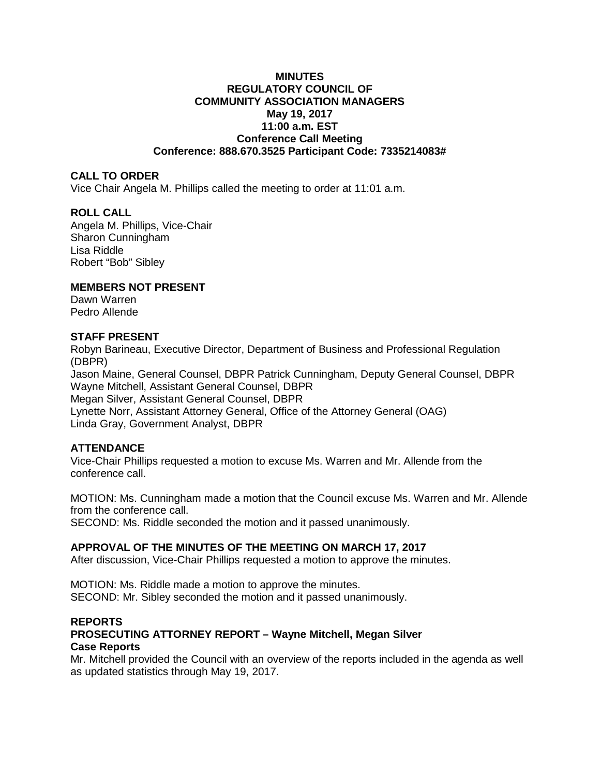## **MINUTES REGULATORY COUNCIL OF COMMUNITY ASSOCIATION MANAGERS May 19, 2017 11:00 a.m. EST Conference Call Meeting Conference: 888.670.3525 Participant Code: 7335214083#**

## **CALL TO ORDER**

Vice Chair Angela M. Phillips called the meeting to order at 11:01 a.m.

## **ROLL CALL**

Angela M. Phillips, Vice-Chair Sharon Cunningham Lisa Riddle Robert "Bob" Sibley

# **MEMBERS NOT PRESENT**

Dawn Warren Pedro Allende

## **STAFF PRESENT**

Robyn Barineau, Executive Director, Department of Business and Professional Regulation (DBPR) Jason Maine, General Counsel, DBPR Patrick Cunningham, Deputy General Counsel, DBPR Wayne Mitchell, Assistant General Counsel, DBPR Megan Silver, Assistant General Counsel, DBPR Lynette Norr, Assistant Attorney General, Office of the Attorney General (OAG) Linda Gray, Government Analyst, DBPR

# **ATTENDANCE**

Vice-Chair Phillips requested a motion to excuse Ms. Warren and Mr. Allende from the conference call.

MOTION: Ms. Cunningham made a motion that the Council excuse Ms. Warren and Mr. Allende from the conference call.

SECOND: Ms. Riddle seconded the motion and it passed unanimously.

# **APPROVAL OF THE MINUTES OF THE MEETING ON MARCH 17, 2017**

After discussion, Vice-Chair Phillips requested a motion to approve the minutes.

MOTION: Ms. Riddle made a motion to approve the minutes. SECOND: Mr. Sibley seconded the motion and it passed unanimously.

# **REPORTS**

# **PROSECUTING ATTORNEY REPORT – Wayne Mitchell, Megan Silver Case Reports**

Mr. Mitchell provided the Council with an overview of the reports included in the agenda as well as updated statistics through May 19, 2017.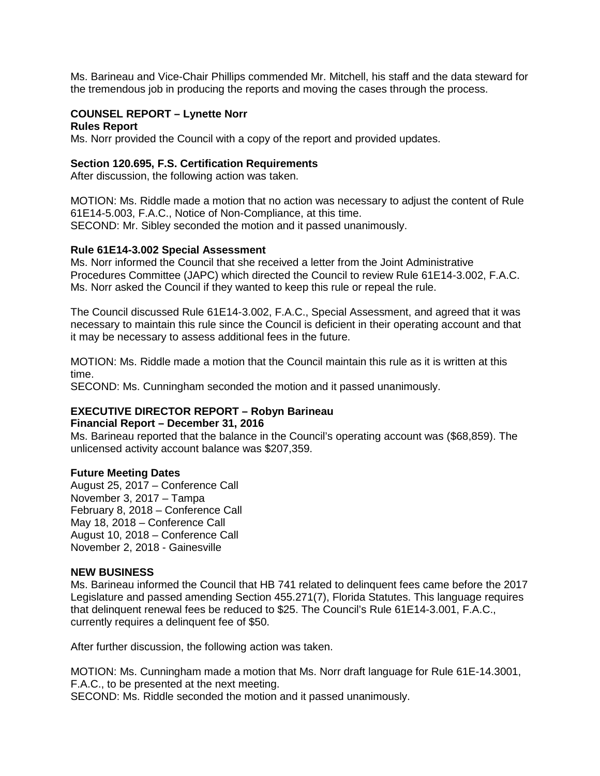Ms. Barineau and Vice-Chair Phillips commended Mr. Mitchell, his staff and the data steward for the tremendous job in producing the reports and moving the cases through the process.

## **COUNSEL REPORT – Lynette Norr**

### **Rules Report**

Ms. Norr provided the Council with a copy of the report and provided updates.

## **Section 120.695, F.S. Certification Requirements**

After discussion, the following action was taken.

MOTION: Ms. Riddle made a motion that no action was necessary to adjust the content of Rule 61E14-5.003, F.A.C., Notice of Non-Compliance, at this time. SECOND: Mr. Sibley seconded the motion and it passed unanimously.

### **Rule 61E14-3.002 Special Assessment**

Ms. Norr informed the Council that she received a letter from the Joint Administrative Procedures Committee (JAPC) which directed the Council to review Rule 61E14-3.002, F.A.C. Ms. Norr asked the Council if they wanted to keep this rule or repeal the rule.

The Council discussed Rule 61E14-3.002, F.A.C., Special Assessment, and agreed that it was necessary to maintain this rule since the Council is deficient in their operating account and that it may be necessary to assess additional fees in the future.

MOTION: Ms. Riddle made a motion that the Council maintain this rule as it is written at this time.

SECOND: Ms. Cunningham seconded the motion and it passed unanimously.

## **EXECUTIVE DIRECTOR REPORT – Robyn Barineau**

#### **Financial Report – December 31, 2016**

Ms. Barineau reported that the balance in the Council's operating account was (\$68,859). The unlicensed activity account balance was \$207,359.

## **Future Meeting Dates**

August 25, 2017 – Conference Call November 3, 2017 – Tampa February 8, 2018 – Conference Call May 18, 2018 – Conference Call August 10, 2018 – Conference Call November 2, 2018 - Gainesville

#### **NEW BUSINESS**

Ms. Barineau informed the Council that HB 741 related to delinquent fees came before the 2017 Legislature and passed amending Section 455.271(7), Florida Statutes. This language requires that delinquent renewal fees be reduced to \$25. The Council's Rule 61E14-3.001, F.A.C., currently requires a delinquent fee of \$50.

After further discussion, the following action was taken.

MOTION: Ms. Cunningham made a motion that Ms. Norr draft language for Rule 61E-14.3001, F.A.C., to be presented at the next meeting. SECOND: Ms. Riddle seconded the motion and it passed unanimously.